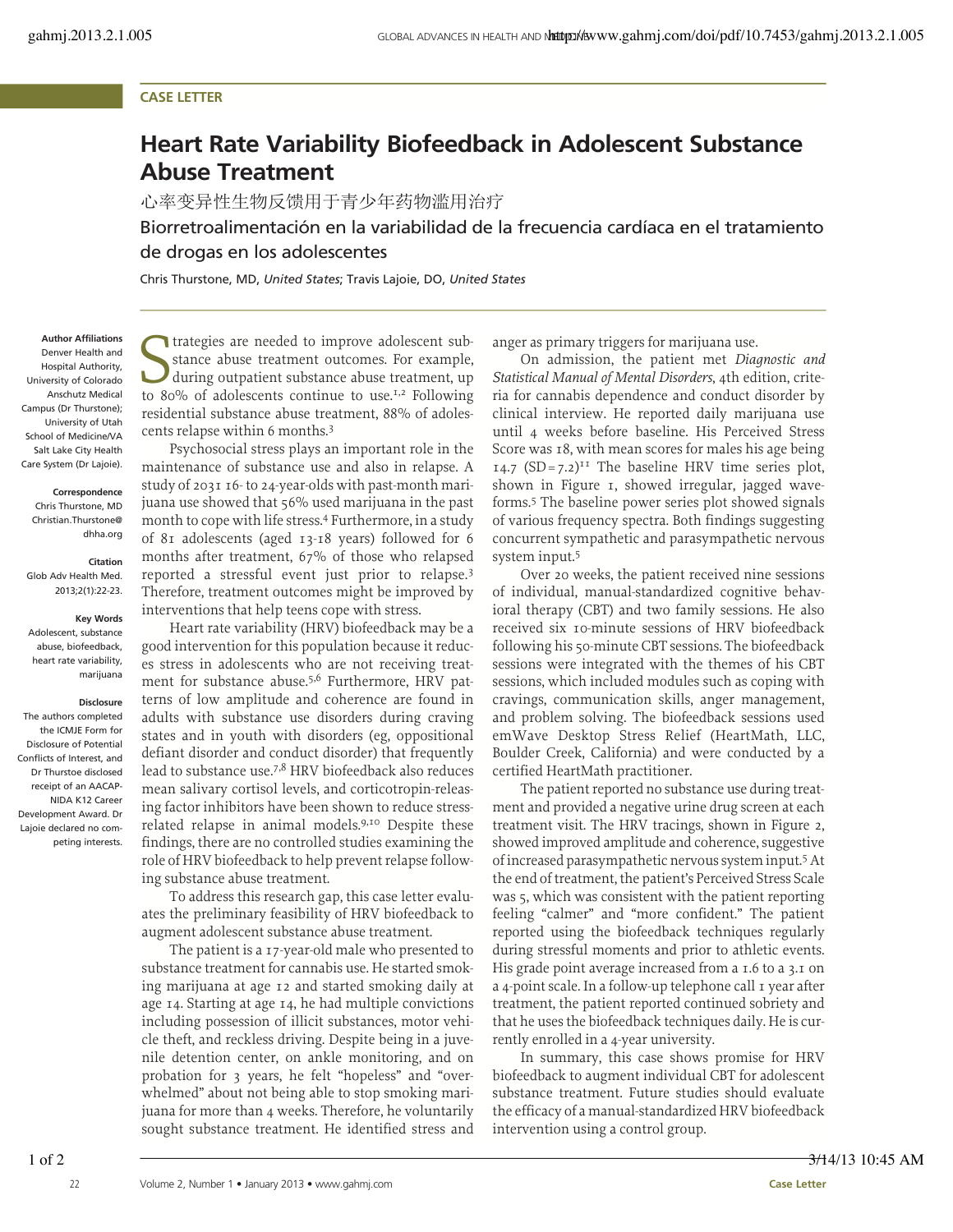# **CASE LETTER**

# **Heart Rate Variability Biofeedback in Adolescent Substance Abuse Treatment**

心率变异性生物反馈用于青少年药物滥用治疗

Biorretroalimentación en la variabilidad de la frecuencia cardíaca en el tratamiento de drogas en los adolescentes

Chris Thurstone, MD, *United States*; Travis Lajoie, DO, *United States*

**Author Affiliations** Denver Health and Hospital Authority, University of Colorado Anschutz Medical Campus (Dr Thurstone); University of Utah School of Medicine/VA Salt Lake City Health Care System (Dr Lajoie).

### **Correspondence**

Chris Thurstone, MD Christian.Thurstone@ dhha.org

**Citation** Glob Adv Health Med. 2013;2(1):22-23.

## **Key Words**

Adolescent, substance abuse, biofeedback, heart rate variability, marijuana

#### **Disclosure**

The authors completed the ICMJE Form for Disclosure of Potential Conflicts of Interest, and Dr Thurstoe disclosed receipt of an AACAP-NIDA K12 Career Development Award. Dr Lajoie declared no competing interests.

Itategies are needed to improve adolescent sub-<br>stance abuse treatment outcomes. For example,<br>during outpatient substance abuse treatment, up<br>to 80% of adolescents continue to use.<sup>1,2</sup> Following trategies are needed to improve adolescent substance abuse treatment outcomes. For example, during outpatient substance abuse treatment, up residential substance abuse treatment, 88% of adolescents relapse within 6 months. 3

Psychosocial stress plays an important role in the maintenance of substance use and also in relapse. A study of 2031 16- to 24-year-olds with past-month marijuana use showed that 56% used marijuana in the past month to cope with life stress. <sup>4</sup> Furthermore, in a study of 81 adolescents (aged 13-18 years) followed for 6 months after treatment, 67% of those who relapsed reported a stressful event just prior to relapse.<sup>3</sup> Therefore, treatment outcomes might be improved by interventions that help teens cope with stress.

Heart rate variability (HRV) biofeedback may be a good intervention for this population because it reduces stress in adolescents who are not receiving treatment for substance abuse.<sup>5,6</sup> Furthermore, HRV patterns of low amplitude and coherence are found in adults with substance use disorders during craving states and in youth with disorders (eg, oppositional defiant disorder and conduct disorder) that frequently lead to substance use. 7,8 HRV biofeedback also reduces mean salivary cortisol levels, and corticotropin-releasing factor inhibitors have been shown to reduce stressrelated relapse in animal models.<sup>9,10</sup> Despite these findings, there are no controlled studies examining the role of HRV biofeedback to help prevent relapse following substance abuse treatment.

To address this research gap, this case letter evaluates the preliminary feasibility of HRV biofeedback to augment adolescent substance abuse treatment.

The patient is a 17-year-old male who presented to substance treatment for cannabis use. He started smoking marijuana at age 12 and started smoking daily at age 14. Starting at age 14, he had multiple convictions including possession of illicit substances, motor vehicle theft, and reckless driving. Despite being in a juvenile detention center, on ankle monitoring, and on probation for 3 years, he felt "hopeless" and "overwhelmed" about not being able to stop smoking marijuana for more than 4 weeks. Therefore, he voluntarily sought substance treatment. He identified stress and

anger as primary triggers for marijuana use.

On admission, the patient met *Diagnostic and Statistical Manual of Mental Disorders*, 4th edition, criteria for cannabis dependence and conduct disorder by clinical interview. He reported daily marijuana use until 4 weeks before baseline. His Perceived Stress Score was 18, with mean scores for males his age being  $14.7$  (SD=7.2)<sup>11</sup> The baseline HRV time series plot, shown in Figure 1, showed irregular, jagged waveforms. <sup>5</sup> The baseline power series plot showed signals of various frequency spectra. Both findings suggesting concurrent sympathetic and parasympathetic nervous system input. 5

Over 20 weeks, the patient received nine sessions of individual, manual-standardized cognitive behavioral therapy (CBT) and two family sessions. He also received six 10-minute sessions of HRV biofeedback following his 50-minute CBT sessions. The biofeedback sessions were integrated with the themes of his CBT sessions, which included modules such as coping with cravings, communication skills, anger management, and problem solving. The biofeedback sessions used emWave Desktop Stress Relief (HeartMath, LLC, Boulder Creek, California) and were conducted by a certified HeartMath practitioner.

The patient reported no substance use during treatment and provided a negative urine drug screen at each treatment visit. The HRV tracings, shown in Figure 2, showed improved amplitude and coherence, suggestive of increased parasympathetic nervous system input.<sup>5</sup> At the end of treatment, the patient's Perceived Stress Scale was 5, which was consistent with the patient reporting feeling "calmer" and "more confident." The patient reported using the biofeedback techniques regularly during stressful moments and prior to athletic events. His grade point average increased from a 1.6 to a 3.1 on a 4-point scale. In a follow-up telephone call 1 year after treatment, the patient reported continued sobriety and that he usesthe biofeedback techniques daily. He is currently enrolled in a 4-year university.

In summary, this case shows promise for HRV biofeedback to augment individual CBT for adolescent substance treatment. Future studies should evaluate the efficacy of a manual-standardized HRV biofeedback intervention using a control group.